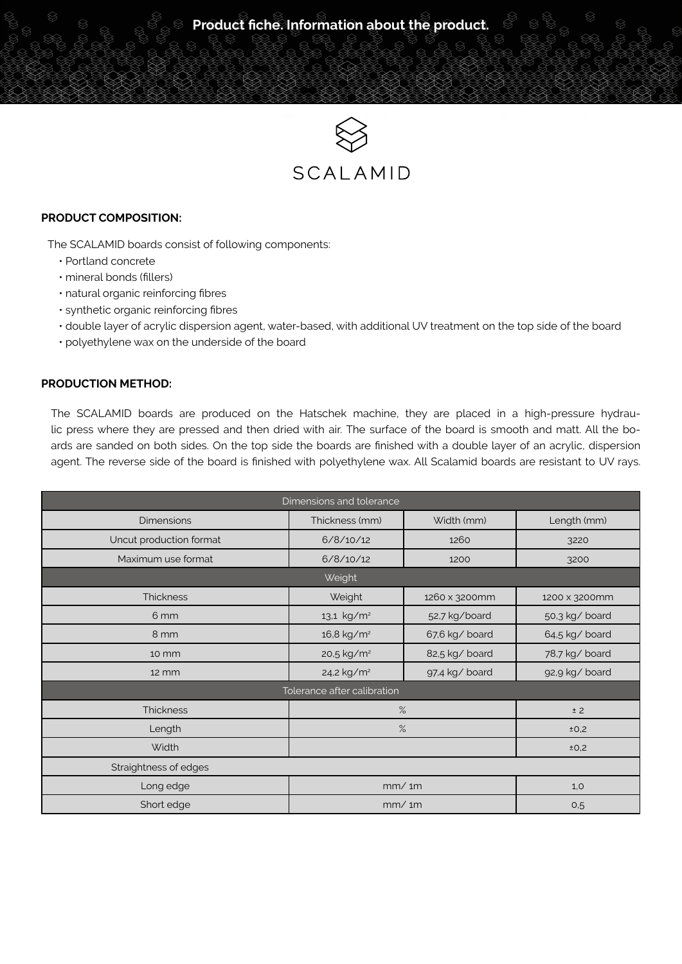

# SCALAMID

#### **PRODUCT COMPOSITION:**

The SCALAMID boards consist of following components:

- Portland concrete
- mineral bonds (fillers)
- natural organic reinforcing fibres
- synthetic organic reinforcing fibres
- double layer of acrylic dispersion agent, water-based, with additional UV treatment on the top side of the board
- polyethylene wax on the underside of the board

# **PRODUCTION METHOD:**

The SCALAMID boards are produced on the Hatschek machine, they are placed in a high-pressure hydraulic press where they are pressed and then dried with air. The surface of the board is smooth and matt. All the boards are sanded on both sides. On the top side the boards are finished with a double layer of an acrylic, dispersion agent. The reverse side of the board is finished with polyethylene wax. All Scalamid boards are resistant to UV rays.

| Dimensions and tolerance    |                        |                |                |  |
|-----------------------------|------------------------|----------------|----------------|--|
| <b>Dimensions</b>           | Thickness (mm)         | Width (mm)     | Length (mm)    |  |
| Uncut production format     | 6/8/10/12              | 1260           | 3220           |  |
| Maximum use format          | 6/8/10/12              | 1200           | 3200           |  |
| Weight                      |                        |                |                |  |
| <b>Thickness</b>            | Weight                 | 1260 x 3200mm  | 1200 x 3200mm  |  |
| 6 mm                        | 13,1 kg/m <sup>2</sup> | 52,7 kg/board  | 50,3 kg/ board |  |
| 8 mm                        | 16,8 kg/m <sup>2</sup> | 67,6 kg/ board | 64,5 kg/ board |  |
| 10 mm                       | 20,5 kg/m <sup>2</sup> | 82,5 kg/ board | 78,7 kg/ board |  |
| $12 \, \text{mm}$           | 24,2 kg/m <sup>2</sup> | 97.4 kg/ board | 92,9 kg/ board |  |
| Tolerance after calibration |                        |                |                |  |
| <b>Thickness</b>            | $\%$                   |                | ± 2            |  |
| Length                      | $\%$                   |                | ±0,2           |  |
| Width                       |                        |                | ±0,2           |  |
| Straightness of edges       |                        |                |                |  |
| Long edge                   | mm/1m                  |                | 1,0            |  |
| Short edge                  | mm/m                   |                | 0,5            |  |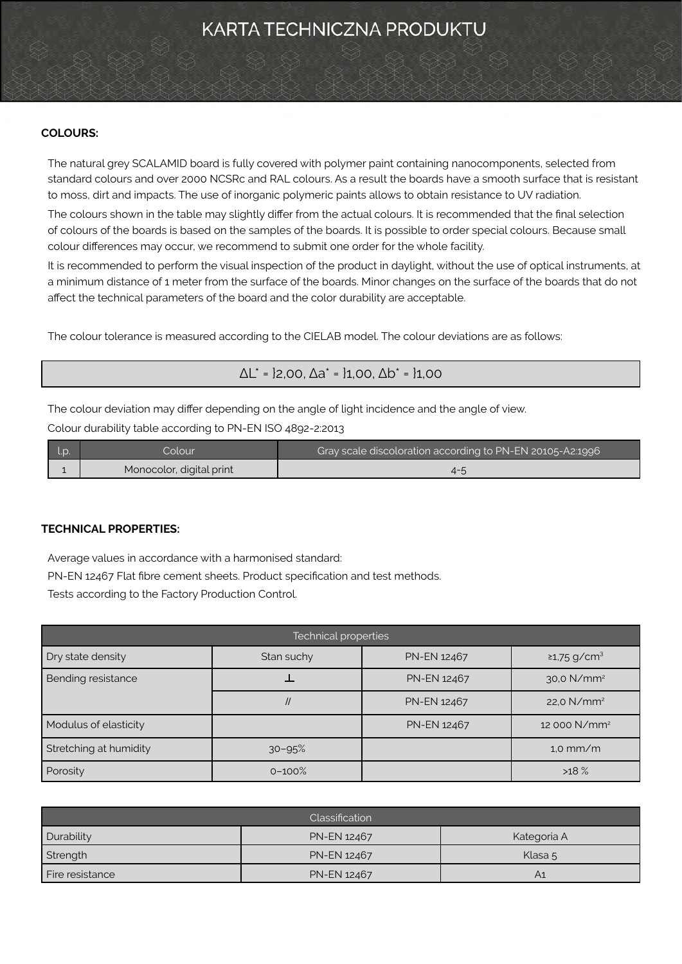# KARTA TECHNICZNA PRODUKTU

# **COLOURS:**

The natural grey SCALAMID board is fully covered with polymer paint containing nanocomponents, selected from standard colours and over 2000 NCSRc and RAL colours. As a result the boards have a smooth surface that is resistant to moss, dirt and impacts. The use of inorganic polymeric paints allows to obtain resistance to UV radiation.

The colours shown in the table may slightly differ from the actual colours. It is recommended that the final selection of colours of the boards is based on the samples of the boards. It is possible to order special colours. Because small colour differences may occur, we recommend to submit one order for the whole facility.

It is recommended to perform the visual inspection of the product in daylight, without the use of optical instruments, at a minimum distance of 1 meter from the surface of the boards. Minor changes on the surface of the boards that do not affect the technical parameters of the board and the color durability are acceptable.

The colour tolerance is measured according to the CIELAB model. The colour deviations are as follows:

# $ΔL<sup>*</sup> = 12,00, Δa<sup>*</sup> = 11,00, Δb<sup>*</sup> = 11,00$

The colour deviation may differ depending on the angle of light incidence and the angle of view.

Colour durability table according to PN-EN ISO 4892-2:2013

| :olour                   | Gray scale discoloration according to PN-EN 20105-A2:1996 |  |
|--------------------------|-----------------------------------------------------------|--|
| Monocolor, digital print |                                                           |  |

### **TECHNICAL PROPERTIES:**

Average values in accordance with a harmonised standard: PN-EN 12467 Flat fibre cement sheets. Product specification and test methods. Tests according to the Factory Production Control.

| Technical properties   |                |                    |                               |  |  |
|------------------------|----------------|--------------------|-------------------------------|--|--|
| Dry state density      | Stan suchy     | PN-EN 12467        | $\geq$ 1,75 g/cm <sup>3</sup> |  |  |
| Bending resistance     |                | PN-EN 12467        | 30,0 N/mm <sup>2</sup>        |  |  |
|                        | $\prime\prime$ | <b>PN-EN 12467</b> | 22,0 $N/mm^2$                 |  |  |
| Modulus of elasticity  |                | PN-EN 12467        | 12 000 N/mm <sup>2</sup>      |  |  |
| Stretching at humidity | $30 - 95%$     |                    | $1.0$ mm/m                    |  |  |
| Porosity               | $0 - 100%$     |                    | >18%                          |  |  |

| Classification  |             |             |  |
|-----------------|-------------|-------------|--|
| Durability      | PN-EN 12467 | Kategoria A |  |
| Strength        | PN-EN 12467 | Klasa 5     |  |
| Fire resistance | PN-EN 12467 | A1          |  |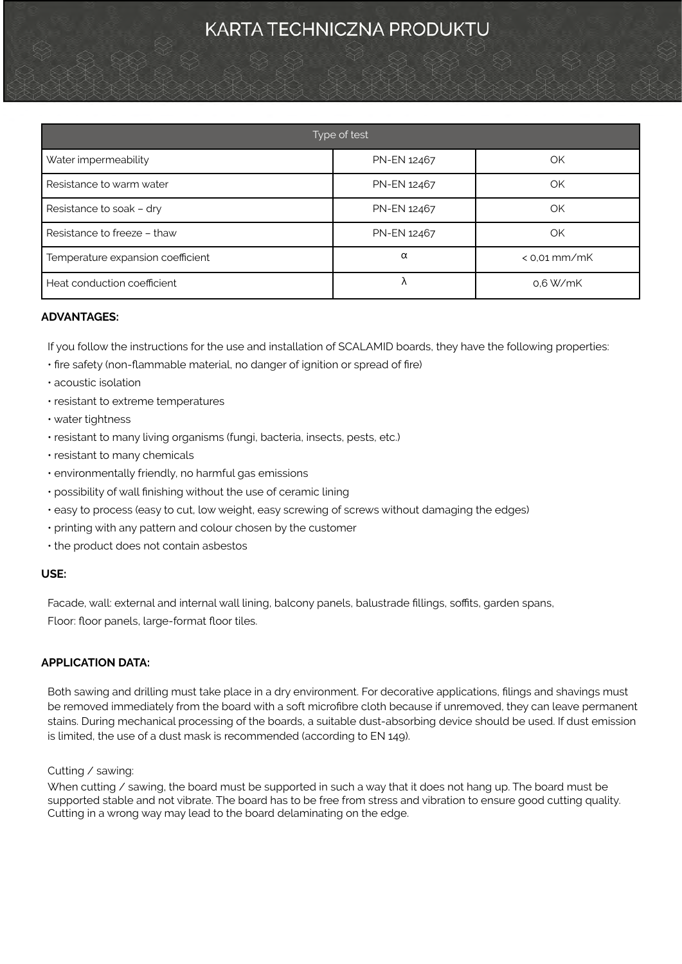# KARTA TECHNICZNA PRODUKTU

| Type of test                      |             |                |  |  |
|-----------------------------------|-------------|----------------|--|--|
| Water impermeability              | PN-EN 12467 | OK             |  |  |
| Resistance to warm water          | PN-EN 12467 | OK             |  |  |
| Resistance to soak - dry          | PN-EN 12467 | OK             |  |  |
| Resistance to freeze - thaw       | PN-EN 12467 | OK             |  |  |
| Temperature expansion coefficient | α           | $<$ 0.01 mm/mK |  |  |
| Heat conduction coefficient       | Λ           | 0.6 W/mK       |  |  |

# **ADVANTAGES:**

If you follow the instructions for the use and installation of SCALAMID boards, they have the following properties:

- fire safety (non-flammable material, no danger of ignition or spread of fire)
- acoustic isolation
- resistant to extreme temperatures
- water tightness
- resistant to many living organisms (fungi, bacteria, insects, pests, etc.)
- resistant to many chemicals
- environmentally friendly, no harmful gas emissions
- possibility of wall finishing without the use of ceramic lining
- easy to process (easy to cut, low weight, easy screwing of screws without damaging the edges)
- printing with any pattern and colour chosen by the customer
- the product does not contain asbestos

# **USE:**

Facade, wall: external and internal wall lining, balcony panels, balustrade fillings, soffits, garden spans, Floor: floor panels, large-format floor tiles.

# **APPLICATION DATA:**

Both sawing and drilling must take place in a dry environment. For decorative applications, filings and shavings must be removed immediately from the board with a soft microfibre cloth because if unremoved, they can leave permanent stains. During mechanical processing of the boards, a suitable dust-absorbing device should be used. If dust emission is limited, the use of a dust mask is recommended (according to EN 149).

### Cutting / sawing:

When cutting / sawing, the board must be supported in such a way that it does not hang up. The board must be supported stable and not vibrate. The board has to be free from stress and vibration to ensure good cutting quality. Cutting in a wrong way may lead to the board delaminating on the edge.